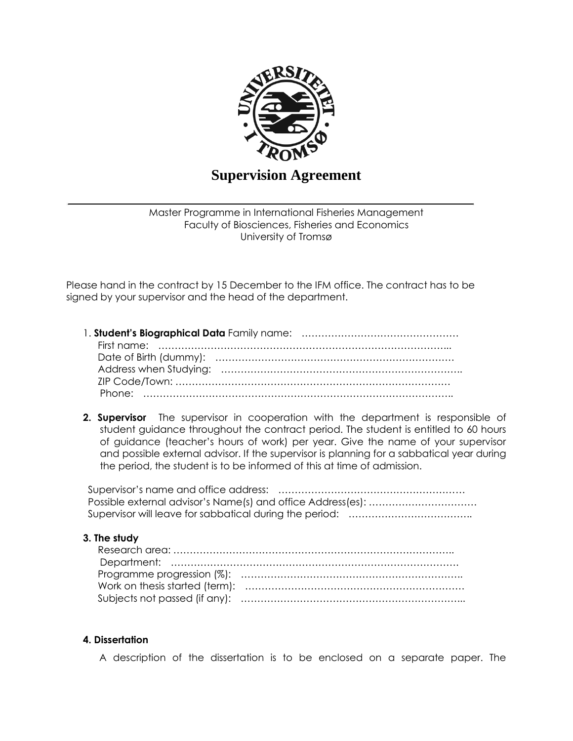

# **Supervision Agreement**

Master Programme in International Fisheries Management Faculty of Biosciences, Fisheries and Economics University of Tromsø

Please hand in the contract by 15 December to the IFM office. The contract has to be signed by your supervisor and the head of the department.

**2. Supervisor** The supervisor in cooperation with the department is responsible of student guidance throughout the contract period. The student is entitled to 60 hours of guidance (teacher's hours of work) per year. Give the name of your supervisor and possible external advisor. If the supervisor is planning for a sabbatical year during the period, the student is to be informed of this at time of admission.

### **3. The study**

#### **4. Dissertation**

A description of the dissertation is to be enclosed on a separate paper. The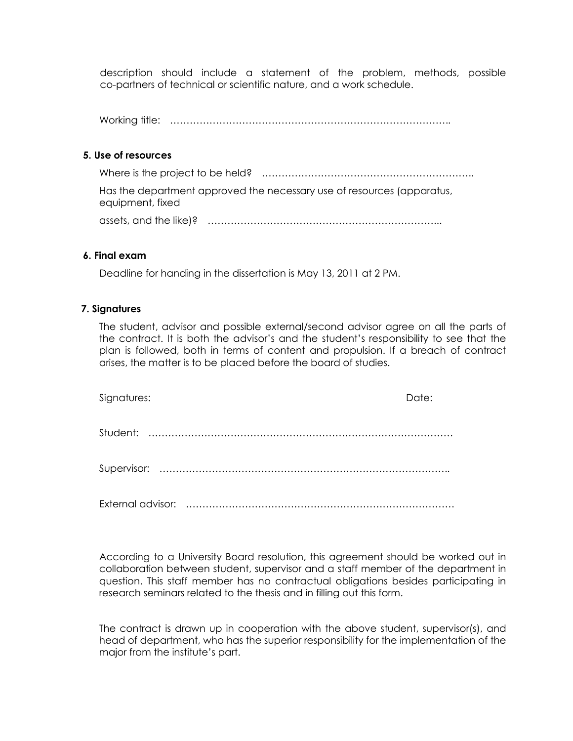description should include a statement of the problem, methods, possible co-partners of technical or scientific nature, and a work schedule.

Working title: …………………………………………………………………………..

## **5. Use of resources**

Where is the project to be held? ……………………………………………………….. Has the department approved the necessary use of resources (apparatus, equipment, fixed

assets, and the like)? ……………………………………………………………...

### **6. Final exam**

Deadline for handing in the dissertation is May 13, 2011 at 2 PM.

### **7. Signatures**

The student, advisor and possible external/second advisor agree on all the parts of the contract. It is both the advisor's and the student's responsibility to see that the plan is followed, both in terms of content and propulsion. If a breach of contract arises, the matter is to be placed before the board of studies.

| Signatures: | Date: |
|-------------|-------|
|             |       |
|             |       |
|             |       |

External advisor: ……………………………………………………………………….

According to a University Board resolution, this agreement should be worked out in collaboration between student, supervisor and a staff member of the department in question. This staff member has no contractual obligations besides participating in research seminars related to the thesis and in filling out this form.

The contract is drawn up in cooperation with the above student, supervisor(s), and head of department, who has the superior responsibility for the implementation of the major from the institute's part.